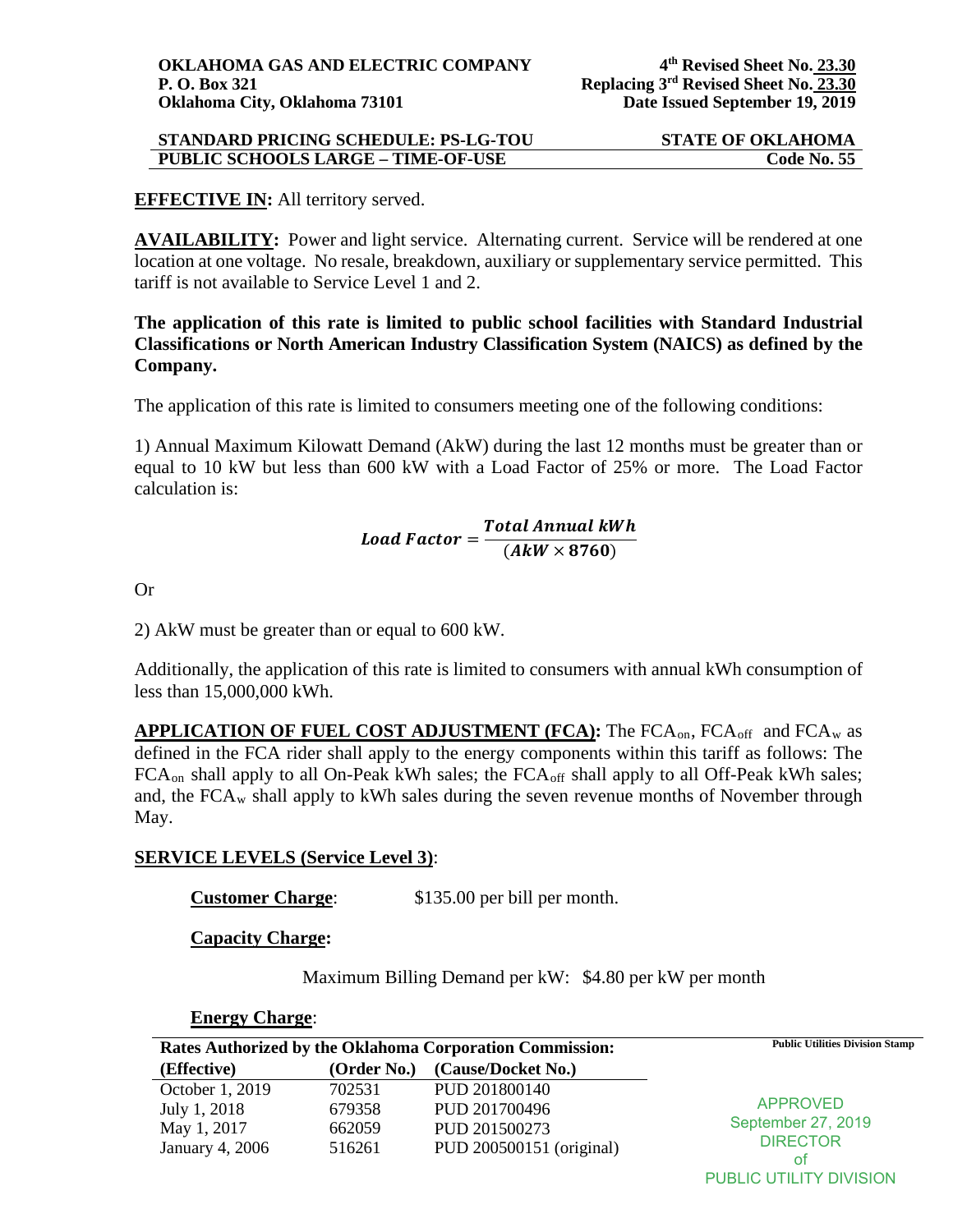### **EFFECTIVE IN:** All territory served.

**AVAILABILITY:** Power and light service. Alternating current. Service will be rendered at one location at one voltage. No resale, breakdown, auxiliary or supplementary service permitted. This tariff is not available to Service Level 1 and 2.

**The application of this rate is limited to public school facilities with Standard Industrial Classifications or North American Industry Classification System (NAICS) as defined by the Company.** 

The application of this rate is limited to consumers meeting one of the following conditions:

1) Annual Maximum Kilowatt Demand (AkW) during the last 12 months must be greater than or equal to 10 kW but less than 600 kW with a Load Factor of 25% or more. The Load Factor calculation is:

# Load Factor =  $\frac{Total \, Annual \, KWh}{(A k W \times 8760)}$

Or

2) AkW must be greater than or equal to 600 kW.

Additionally, the application of this rate is limited to consumers with annual kWh consumption of less than 15,000,000 kWh.

**APPLICATION OF FUEL COST ADJUSTMENT (FCA):** The FCA<sub>on</sub>, FCA<sub>off</sub> and FCA<sub>w</sub> as defined in the FCA rider shall apply to the energy components within this tariff as follows: The FCA<sub>on</sub> shall apply to all On-Peak kWh sales; the FCA<sub>off</sub> shall apply to all Off-Peak kWh sales; and, the  $FCA_w$  shall apply to kWh sales during the seven revenue months of November through May.

# **SERVICE LEVELS (Service Level 3)**:

**Customer Charge**: \$135.00 per bill per month.

**Capacity Charge:** 

Maximum Billing Demand per kW: \$4.80 per kW per month

#### **Rates Authorized by the Oklahoma Corporation Commission:** Public Utilities Division Stamp **(Effective) (Order No.) (Cause/Docket No.)** October 1, 2019 702531 PUD 201800140 July 1, 2018 679358 PUD 201700496 May 1, 2017 662059 PUD 201500273 January 4, 2006 516261 PUD 200500151 (original) **Energy Charge**: APPROVED September 27, 2019 **DIRECTOR** of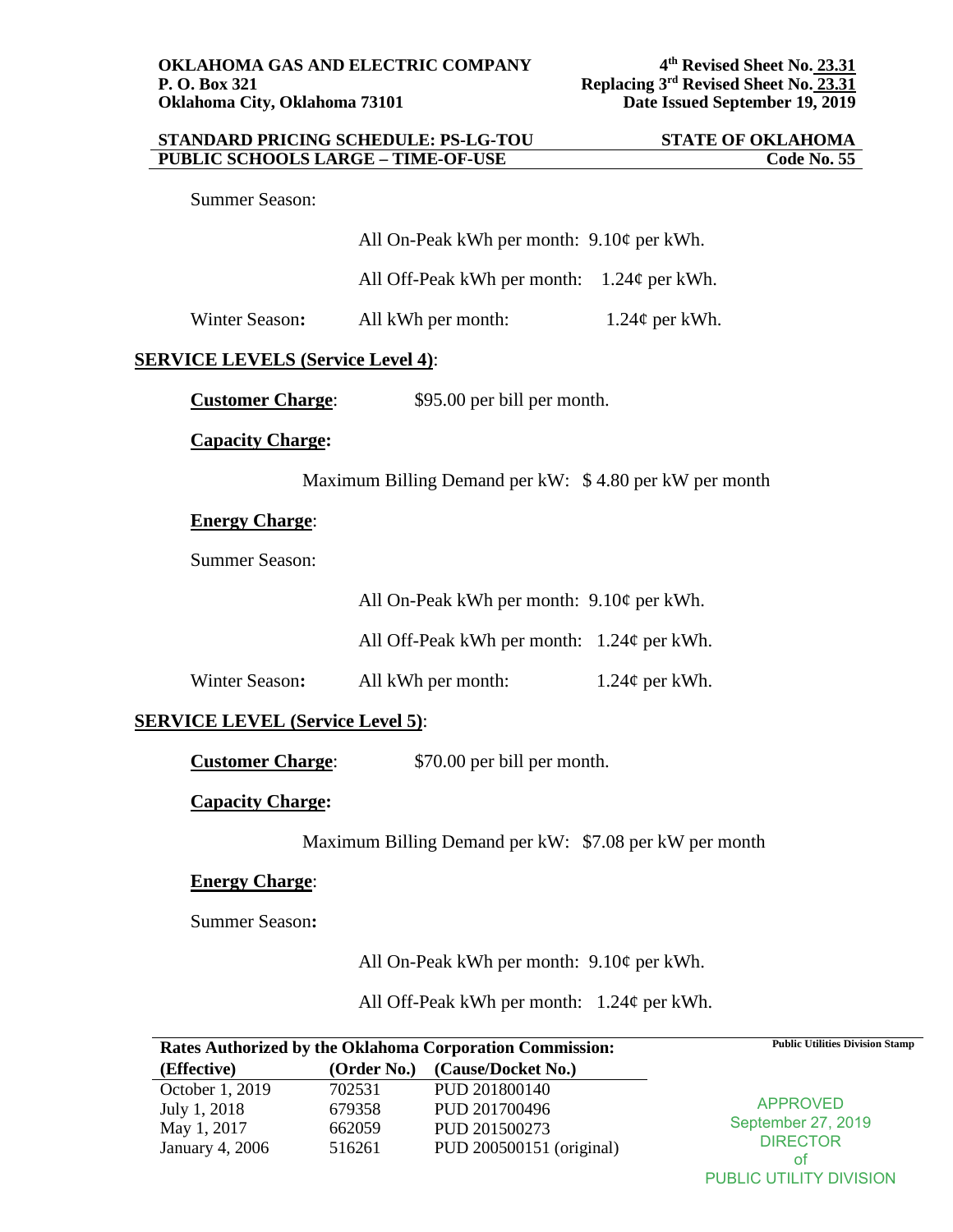| <b>STANDARD PRICING SCHEDULE: PS-LG-TOU</b> |                                              |                     | <b>STATE OF OKLAHOMA</b> |
|---------------------------------------------|----------------------------------------------|---------------------|--------------------------|
| <b>PUBLIC SCHOOLS LARGE - TIME-OF-USE</b>   |                                              |                     | <b>Code No. 55</b>       |
| <b>Summer Season:</b>                       |                                              |                     |                          |
|                                             | All On-Peak kWh per month: $9.10¢$ per kWh.  |                     |                          |
|                                             | All Off-Peak kWh per month: $1.24¢$ per kWh. |                     |                          |
| Winter Season:                              | All kWh per month:                           | $1.24\phi$ per kWh. |                          |
| <b>SERVICE LEVELS (Service Level 4):</b>    |                                              |                     |                          |
| <b>Customer Charge:</b>                     | \$95.00 per bill per month.                  |                     |                          |
| <b>Capacity Charge:</b>                     |                                              |                     |                          |

Maximum Billing Demand per kW: \$ 4.80 per kW per month

# **Energy Charge**:

Summer Season:

All On-Peak kWh per month: 9.10¢ per kWh.

All Off-Peak kWh per month: 1.24¢ per kWh.

Winter Season: All kWh per month:  $1.24\phi$  per kWh.

# **SERVICE LEVEL (Service Level 5)**:

**Customer Charge**: \$70.00 per bill per month.

#### **Capacity Charge:**

Maximum Billing Demand per kW: \$7.08 per kW per month

### **Energy Charge**:

Summer Season**:** 

All On-Peak kWh per month: 9.10¢ per kWh.

All Off-Peak kWh per month: 1.24¢ per kWh.

|                 |             | <b>Rates Authorized by the Oklahoma Corporation Commission:</b> | <b>Public Utilities Division Stamp</b>      |
|-----------------|-------------|-----------------------------------------------------------------|---------------------------------------------|
| (Effective)     | (Order No.) | (Cause/Docket No.)                                              |                                             |
| October 1, 2019 | 702531      | PUD 201800140                                                   |                                             |
| July 1, 2018    | 679358      | PUD 201700496                                                   |                                             |
| May 1, 2017     | 662059      | PUD 201500273                                                   | <b>DIRECTOR</b>                             |
| January 4, 2006 | 516261      | PUD 200500151 (original)                                        |                                             |
|                 |             |                                                                 | <b>APPROVED</b><br>September 27, 2019<br>of |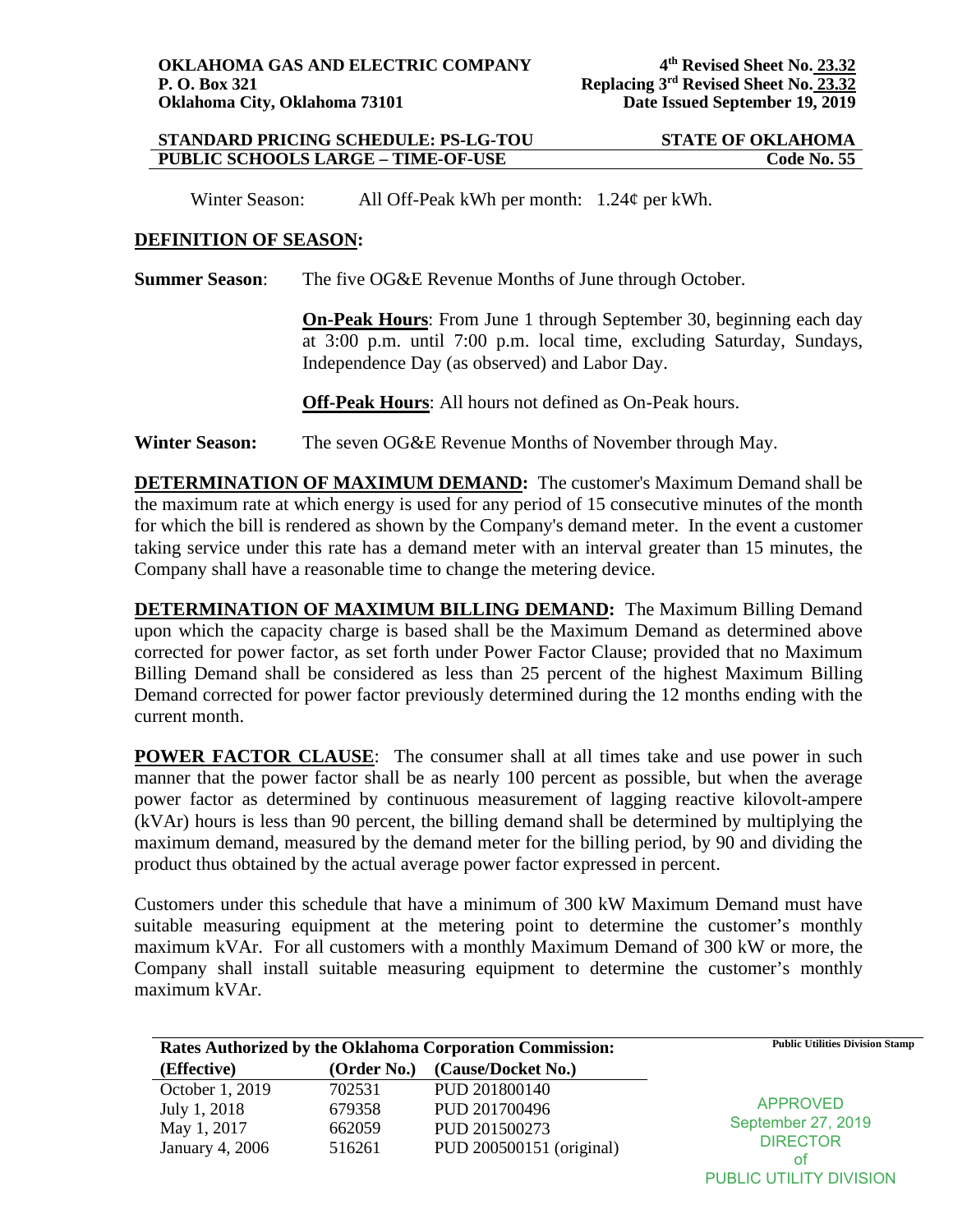Winter Season:All Off-Peak kWh per month: 1.24¢ per kWh.

#### **DEFINITION OF SEASON:**

**Summer Season:** The five OG&E Revenue Months of June through October.

**On-Peak Hours**: From June 1 through September 30, beginning each day at 3:00 p.m. until 7:00 p.m. local time, excluding Saturday, Sundays, Independence Day (as observed) and Labor Day.

**Off-Peak Hours**: All hours not defined as On-Peak hours.

**Winter Season:** The seven OG&E Revenue Months of November through May.

**DETERMINATION OF MAXIMUM DEMAND:** The customer's Maximum Demand shall be the maximum rate at which energy is used for any period of 15 consecutive minutes of the month for which the bill is rendered as shown by the Company's demand meter. In the event a customer taking service under this rate has a demand meter with an interval greater than 15 minutes, the Company shall have a reasonable time to change the metering device.

**DETERMINATION OF MAXIMUM BILLING DEMAND:** The Maximum Billing Demand upon which the capacity charge is based shall be the Maximum Demand as determined above corrected for power factor, as set forth under Power Factor Clause; provided that no Maximum Billing Demand shall be considered as less than 25 percent of the highest Maximum Billing Demand corrected for power factor previously determined during the 12 months ending with the current month.

**POWER FACTOR CLAUSE:** The consumer shall at all times take and use power in such manner that the power factor shall be as nearly 100 percent as possible, but when the average power factor as determined by continuous measurement of lagging reactive kilovolt-ampere (kVAr) hours is less than 90 percent, the billing demand shall be determined by multiplying the maximum demand, measured by the demand meter for the billing period, by 90 and dividing the product thus obtained by the actual average power factor expressed in percent.

Customers under this schedule that have a minimum of 300 kW Maximum Demand must have suitable measuring equipment at the metering point to determine the customer's monthly maximum kVAr. For all customers with a monthly Maximum Demand of 300 kW or more, the Company shall install suitable measuring equipment to determine the customer's monthly maximum kVAr.

|                 |             | Rates Authorized by the Oklahoma Corporation Commission: | <b>Public Utilities Division Stamp</b> |
|-----------------|-------------|----------------------------------------------------------|----------------------------------------|
| (Effective)     | (Order No.) | (Cause/Docket No.)                                       |                                        |
| October 1, 2019 | 702531      | PUD 201800140                                            |                                        |
| July 1, 2018    | 679358      | PUD 201700496                                            | <b>APPROVED</b>                        |
| May 1, 2017     | 662059      | PUD 201500273                                            | September 27, 2019                     |
| January 4, 2006 | 516261      | PUD 200500151 (original)                                 | <b>DIRECTOR</b>                        |
|                 |             |                                                          | ot                                     |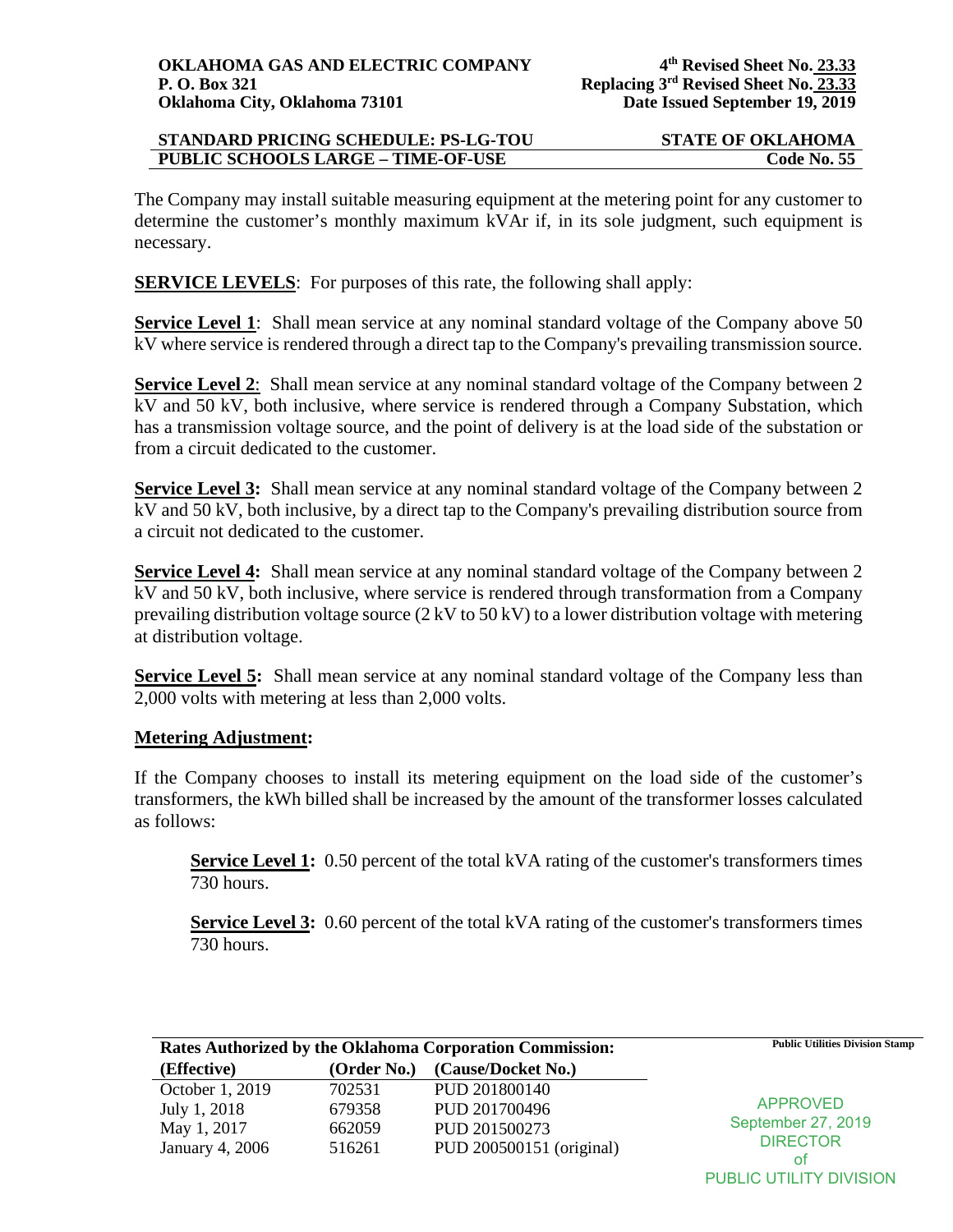The Company may install suitable measuring equipment at the metering point for any customer to determine the customer's monthly maximum kVAr if, in its sole judgment, such equipment is necessary.

**SERVICE LEVELS:** For purposes of this rate, the following shall apply:

**Service Level 1**: Shall mean service at any nominal standard voltage of the Company above 50 kV where service is rendered through a direct tap to the Company's prevailing transmission source.

**Service Level 2:** Shall mean service at any nominal standard voltage of the Company between 2 kV and 50 kV, both inclusive, where service is rendered through a Company Substation, which has a transmission voltage source, and the point of delivery is at the load side of the substation or from a circuit dedicated to the customer.

**Service Level 3:** Shall mean service at any nominal standard voltage of the Company between 2 kV and 50 kV, both inclusive, by a direct tap to the Company's prevailing distribution source from a circuit not dedicated to the customer.

**Service Level 4:** Shall mean service at any nominal standard voltage of the Company between 2 kV and 50 kV, both inclusive, where service is rendered through transformation from a Company prevailing distribution voltage source (2 kV to 50 kV) to a lower distribution voltage with metering at distribution voltage.

**Service Level 5:** Shall mean service at any nominal standard voltage of the Company less than 2,000 volts with metering at less than 2,000 volts.

# **Metering Adjustment:**

If the Company chooses to install its metering equipment on the load side of the customer's transformers, the kWh billed shall be increased by the amount of the transformer losses calculated as follows:

**Service Level 1:** 0.50 percent of the total kVA rating of the customer's transformers times 730 hours.

**Service Level 3:** 0.60 percent of the total kVA rating of the customer's transformers times 730 hours.

| <b>Rates Authorized by the Oklahoma Corporation Commission:</b> |             |                          | <b>Public Utilities Division Stamp</b> |
|-----------------------------------------------------------------|-------------|--------------------------|----------------------------------------|
| (Effective)                                                     | (Order No.) | (Cause/Docket No.)       |                                        |
| October 1, 2019                                                 | 702531      | PUD 201800140            |                                        |
| July 1, 2018                                                    | 679358      | PUD 201700496            | <b>APPROVED</b>                        |
| May 1, 2017                                                     | 662059      | PUD 201500273            | September 27, 2019                     |
| January 4, 2006                                                 | 516261      | PUD 200500151 (original) | <b>DIRECTOR</b>                        |
|                                                                 |             |                          | ot                                     |